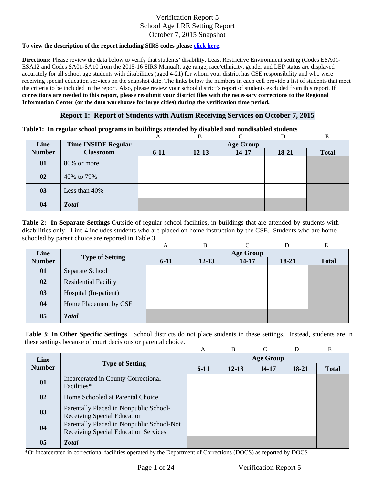#### **To view the description of the report including SIRS codes please click here.**

Information Center (or the data warehouse for large cities) during the verification time period. **Directions:** Please review the data below to verify that students' disability, Least Restrictive Environment setting (Codes ESA01- ESA12 and Codes SA01-SA10 from the 2015-16 SIRS Manual), age range, race/ethnicity, gender and LEP status are displayed accurately for all school age students with disabilities (aged 4-21) for whom your district has CSE responsibility and who were receiving special education services on the snapshot date. The links below the numbers in each cell provide a list of students that meet the criteria to be included in the report. Also, please review your school district's report of students excluded from this report. **If corrections are needed to this report, please resubmit your district files with the necessary corrections to the Regional** 

#### **Report 1: Report of Students with Autism Receiving Services on October 7, 2015**

#### **Table1: In regular school programs in buildings attended by disabled and nondisabled students**

|               |                            | A                | B         |           |       | E            |  |  |
|---------------|----------------------------|------------------|-----------|-----------|-------|--------------|--|--|
| Line          | <b>Time INSIDE Regular</b> | <b>Age Group</b> |           |           |       |              |  |  |
| <b>Number</b> | <b>Classroom</b>           | $6 - 11$         | $12 - 13$ | $14 - 17$ | 18-21 | <b>Total</b> |  |  |
| 01            | 80% or more                |                  |           |           |       |              |  |  |
| 02            | 40% to 79%                 |                  |           |           |       |              |  |  |
| 03            | Less than 40%              |                  |           |           |       |              |  |  |
| 04            | <b>Total</b>               |                  |           |           |       |              |  |  |

schooled by parent choice are reported in Table 3.<br>
A B C D E **Table 2: In Separate Settings** Outside of regular school facilities, in buildings that are attended by students with disabilities only. Line 4 includes students who are placed on home instruction by the CSE. Students who are home-

|               |                             | A                | B         | ⌒     |         | E            |  |  |
|---------------|-----------------------------|------------------|-----------|-------|---------|--------------|--|--|
| Line          |                             | <b>Age Group</b> |           |       |         |              |  |  |
| <b>Number</b> | <b>Type of Setting</b>      | $6-11$           | $12 - 13$ | 14-17 | $18-21$ | <b>Total</b> |  |  |
| 01            | Separate School             |                  |           |       |         |              |  |  |
| 02            | <b>Residential Facility</b> |                  |           |       |         |              |  |  |
| 03            | Hospital (In-patient)       |                  |           |       |         |              |  |  |
| 04            | Home Placement by CSE       |                  |           |       |         |              |  |  |
| 05            | <b>Total</b>                |                  |           |       |         |              |  |  |

**Table 3: In Other Specific Settings**. School districts do not place students in these settings. Instead, students are in these settings because of court decisions or parental choice.

|                |                                                                                   | A                | B         |       |       | E            |  |  |
|----------------|-----------------------------------------------------------------------------------|------------------|-----------|-------|-------|--------------|--|--|
| Line           | <b>Type of Setting</b>                                                            | <b>Age Group</b> |           |       |       |              |  |  |
| <b>Number</b>  |                                                                                   | $6-11$           | $12 - 13$ | 14-17 | 18-21 | <b>Total</b> |  |  |
| 01             | Incarcerated in County Correctional<br>Facilities*                                |                  |           |       |       |              |  |  |
| 02             | Home Schooled at Parental Choice                                                  |                  |           |       |       |              |  |  |
| 03             | Parentally Placed in Nonpublic School-<br><b>Receiving Special Education</b>      |                  |           |       |       |              |  |  |
| 04             | Parentally Placed in Nonpublic School-Not<br>Receiving Special Education Services |                  |           |       |       |              |  |  |
| 0 <sub>5</sub> | <b>Total</b>                                                                      |                  |           |       |       |              |  |  |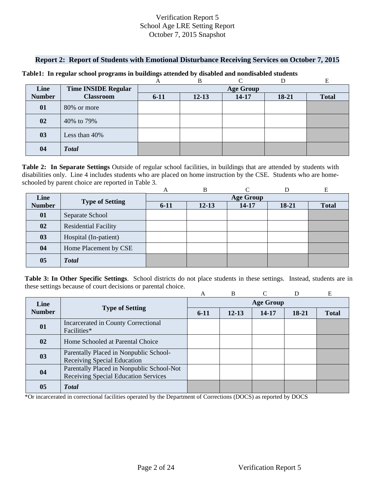#### **Report 2: Report of Students with Emotional Disturbance Receiving Services on October 7, 2015**

|               |                            |                  | B         |           |       | E            |  |  |
|---------------|----------------------------|------------------|-----------|-----------|-------|--------------|--|--|
| Line          | <b>Time INSIDE Regular</b> | <b>Age Group</b> |           |           |       |              |  |  |
| <b>Number</b> | <b>Classroom</b>           | $6 - 11$         | $12 - 13$ | $14 - 17$ | 18-21 | <b>Total</b> |  |  |
| 01            | 80% or more                |                  |           |           |       |              |  |  |
| 02            | 40% to 79%                 |                  |           |           |       |              |  |  |
| 03            | Less than 40%              |                  |           |           |       |              |  |  |
| 04            | <b>Total</b>               |                  |           |           |       |              |  |  |

#### **Table1: In regular school programs in buildings attended by disabled and nondisabled students**

 schooled by parent choice are reported in Table 3. **Table 2: In Separate Settings** Outside of regular school facilities, in buildings that are attended by students with disabilities only. Line 4 includes students who are placed on home instruction by the CSE. Students who are home-

|               |                             | А                | B         |       |       | E            |  |  |
|---------------|-----------------------------|------------------|-----------|-------|-------|--------------|--|--|
| Line          | <b>Type of Setting</b>      | <b>Age Group</b> |           |       |       |              |  |  |
| <b>Number</b> |                             | $6 - 11$         | $12 - 13$ | 14-17 | 18-21 | <b>Total</b> |  |  |
| 01            | Separate School             |                  |           |       |       |              |  |  |
| 02            | <b>Residential Facility</b> |                  |           |       |       |              |  |  |
| 03            | Hospital (In-patient)       |                  |           |       |       |              |  |  |
| 04            | Home Placement by CSE       |                  |           |       |       |              |  |  |
| 05            | <b>Total</b>                |                  |           |       |       |              |  |  |

**Table 3: In Other Specific Settings**. School districts do not place students in these settings. Instead, students are in these settings because of court decisions or parental choice.

|               |                                                                                   | A                | B         |       | D     | E            |  |  |
|---------------|-----------------------------------------------------------------------------------|------------------|-----------|-------|-------|--------------|--|--|
| Line          | <b>Type of Setting</b>                                                            | <b>Age Group</b> |           |       |       |              |  |  |
| <b>Number</b> |                                                                                   | $6-11$           | $12 - 13$ | 14-17 | 18-21 | <b>Total</b> |  |  |
| 01            | Incarcerated in County Correctional<br>Facilities*                                |                  |           |       |       |              |  |  |
| $\mathbf{02}$ | Home Schooled at Parental Choice                                                  |                  |           |       |       |              |  |  |
| 03            | Parentally Placed in Nonpublic School-<br>Receiving Special Education             |                  |           |       |       |              |  |  |
| 04            | Parentally Placed in Nonpublic School-Not<br>Receiving Special Education Services |                  |           |       |       |              |  |  |
| 05            | <b>T</b> otal                                                                     |                  |           |       |       |              |  |  |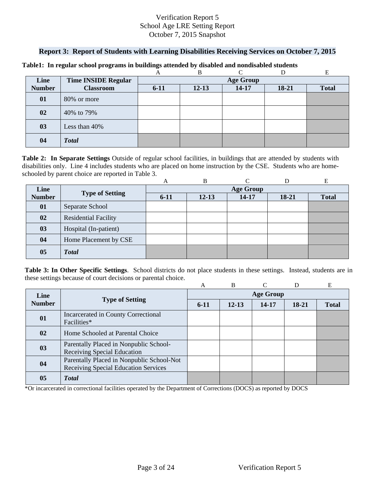## **Report 3: Report of Students with Learning Disabilities Receiving Services on October 7, 2015**

|               |                            |                  | B         | ⌒         |       |              |  |  |
|---------------|----------------------------|------------------|-----------|-----------|-------|--------------|--|--|
| Line          | <b>Time INSIDE Regular</b> | <b>Age Group</b> |           |           |       |              |  |  |
| <b>Number</b> | <b>Classroom</b>           | $6 - 11$         | $12 - 13$ | $14 - 17$ | 18-21 | <b>Total</b> |  |  |
| 01            | 80% or more                |                  |           |           |       |              |  |  |
| 02            | 40% to 79%                 |                  |           |           |       |              |  |  |
| 03            | Less than 40%              |                  |           |           |       |              |  |  |
| 04            | <b>Total</b>               |                  |           |           |       |              |  |  |

#### **Table1: In regular school programs in buildings attended by disabled and nondisabled students**

schooled by parent choice are reported in Table 3.<br>
A B C D E **Table 2: In Separate Settings** Outside of regular school facilities, in buildings that are attended by students with disabilities only. Line 4 includes students who are placed on home instruction by the CSE. Students who are home-

|                |                             | A                | B         |       |         | E            |  |  |
|----------------|-----------------------------|------------------|-----------|-------|---------|--------------|--|--|
| Line           |                             | <b>Age Group</b> |           |       |         |              |  |  |
| <b>Number</b>  | <b>Type of Setting</b>      | $6 - 11$         | $12 - 13$ | 14-17 | $18-21$ | <b>Total</b> |  |  |
| 01             | Separate School             |                  |           |       |         |              |  |  |
| 02             | <b>Residential Facility</b> |                  |           |       |         |              |  |  |
| 03             | Hospital (In-patient)       |                  |           |       |         |              |  |  |
| 04             | Home Placement by CSE       |                  |           |       |         |              |  |  |
| 0 <sub>5</sub> | <b>Total</b>                |                  |           |       |         |              |  |  |

**Table 3: In Other Specific Settings**. School districts do not place students in these settings. Instead, students are in these settings because of court decisions or parental choice.

|               |                                                                                   | А                | <sub>B</sub> |       | D     | E            |  |  |
|---------------|-----------------------------------------------------------------------------------|------------------|--------------|-------|-------|--------------|--|--|
| Line          | <b>Type of Setting</b>                                                            | <b>Age Group</b> |              |       |       |              |  |  |
| <b>Number</b> |                                                                                   | $6-11$           | $12 - 13$    | 14-17 | 18-21 | <b>Total</b> |  |  |
| 01            | Incarcerated in County Correctional<br>Facilities*                                |                  |              |       |       |              |  |  |
| 02            | Home Schooled at Parental Choice                                                  |                  |              |       |       |              |  |  |
| 03            | Parentally Placed in Nonpublic School-<br>Receiving Special Education             |                  |              |       |       |              |  |  |
| 04            | Parentally Placed in Nonpublic School-Not<br>Receiving Special Education Services |                  |              |       |       |              |  |  |
| 05            | <b>T</b> otal                                                                     |                  |              |       |       |              |  |  |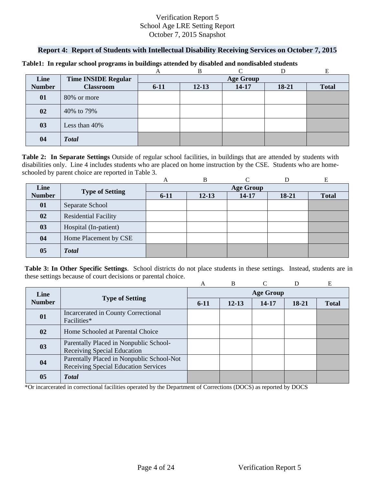# **Report 4: Report of Students with Intellectual Disability Receiving Services on October 7, 2015**

|               |                            |                  | В         |           |       |              |  |  |
|---------------|----------------------------|------------------|-----------|-----------|-------|--------------|--|--|
| Line          | <b>Time INSIDE Regular</b> | <b>Age Group</b> |           |           |       |              |  |  |
| <b>Number</b> | <b>Classroom</b>           | $6 - 11$         | $12 - 13$ | $14 - 17$ | 18-21 | <b>Total</b> |  |  |
| 01            | 80% or more                |                  |           |           |       |              |  |  |
| 02            | 40% to 79%                 |                  |           |           |       |              |  |  |
| 03            | Less than 40%              |                  |           |           |       |              |  |  |
| 04            | <b>Total</b>               |                  |           |           |       |              |  |  |

#### **Table1: In regular school programs in buildings attended by disabled and nondisabled students**

schooled by parent choice are reported in Table 3.<br>
A B C D E **Table 2: In Separate Settings** Outside of regular school facilities, in buildings that are attended by students with disabilities only. Line 4 includes students who are placed on home instruction by the CSE. Students who are home-

|                |                             | A                | B         |       |         | Е            |  |  |
|----------------|-----------------------------|------------------|-----------|-------|---------|--------------|--|--|
| Line           | <b>Type of Setting</b>      | <b>Age Group</b> |           |       |         |              |  |  |
| <b>Number</b>  |                             | $6 - 11$         | $12 - 13$ | 14-17 | $18-21$ | <b>Total</b> |  |  |
| 01             | Separate School             |                  |           |       |         |              |  |  |
| 02             | <b>Residential Facility</b> |                  |           |       |         |              |  |  |
| 03             | Hospital (In-patient)       |                  |           |       |         |              |  |  |
| 04             | Home Placement by CSE       |                  |           |       |         |              |  |  |
| 0 <sub>5</sub> | <b>Total</b>                |                  |           |       |         |              |  |  |

**Table 3: In Other Specific Settings**. School districts do not place students in these settings. Instead, students are in these settings because of court decisions or parental choice.

|               |                                                                                          | A                | B         |       | D       | E            |  |  |
|---------------|------------------------------------------------------------------------------------------|------------------|-----------|-------|---------|--------------|--|--|
| Line          |                                                                                          | <b>Age Group</b> |           |       |         |              |  |  |
| <b>Number</b> | <b>Type of Setting</b>                                                                   | $6-11$           | $12 - 13$ | 14-17 | $18-21$ | <b>Total</b> |  |  |
| 01            | Incarcerated in County Correctional<br>Facilities*                                       |                  |           |       |         |              |  |  |
| 02            | Home Schooled at Parental Choice                                                         |                  |           |       |         |              |  |  |
| 03            | Parentally Placed in Nonpublic School-<br><b>Receiving Special Education</b>             |                  |           |       |         |              |  |  |
| 04            | Parentally Placed in Nonpublic School-Not<br><b>Receiving Special Education Services</b> |                  |           |       |         |              |  |  |
| 05            | <b>Total</b>                                                                             |                  |           |       |         |              |  |  |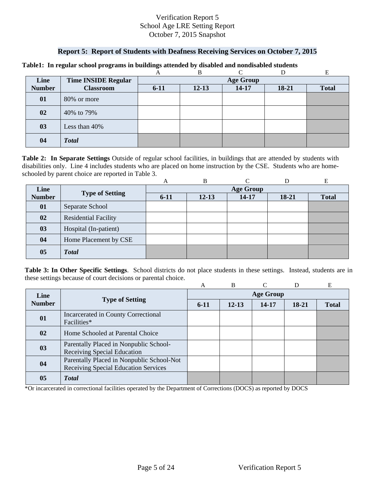#### **Report 5: Report of Students with Deafness Receiving Services on October 7, 2015**

|               |                            |                  | B         |           |       | E            |  |  |
|---------------|----------------------------|------------------|-----------|-----------|-------|--------------|--|--|
| Line          | <b>Time INSIDE Regular</b> | <b>Age Group</b> |           |           |       |              |  |  |
| <b>Number</b> | <b>Classroom</b>           | $6 - 11$         | $12 - 13$ | $14 - 17$ | 18-21 | <b>Total</b> |  |  |
| 01            | 80% or more                |                  |           |           |       |              |  |  |
| 02            | 40% to 79%                 |                  |           |           |       |              |  |  |
| 03            | Less than 40%              |                  |           |           |       |              |  |  |
| 04            | <b>Total</b>               |                  |           |           |       |              |  |  |

#### **Table1: In regular school programs in buildings attended by disabled and nondisabled students**

schooled by parent choice are reported in Table 3.<br>
A B C D E **Table 2: In Separate Settings** Outside of regular school facilities, in buildings that are attended by students with disabilities only. Line 4 includes students who are placed on home instruction by the CSE. Students who are home-

|                |                             | A                | B         |       |         | Е            |  |  |
|----------------|-----------------------------|------------------|-----------|-------|---------|--------------|--|--|
| Line           |                             | <b>Age Group</b> |           |       |         |              |  |  |
| <b>Number</b>  | <b>Type of Setting</b>      | $6-11$           | $12 - 13$ | 14-17 | $18-21$ | <b>Total</b> |  |  |
| 01             | Separate School             |                  |           |       |         |              |  |  |
| 02             | <b>Residential Facility</b> |                  |           |       |         |              |  |  |
| 03             | Hospital (In-patient)       |                  |           |       |         |              |  |  |
| 04             | Home Placement by CSE       |                  |           |       |         |              |  |  |
| 0 <sub>5</sub> | <b>Total</b>                |                  |           |       |         |              |  |  |

**Table 3: In Other Specific Settings**. School districts do not place students in these settings. Instead, students are in these settings because of court decisions or parental choice.

|               |                                                                                   | А                | <sub>B</sub> |       | D     | E            |  |  |
|---------------|-----------------------------------------------------------------------------------|------------------|--------------|-------|-------|--------------|--|--|
| Line          |                                                                                   | <b>Age Group</b> |              |       |       |              |  |  |
| <b>Number</b> | <b>Type of Setting</b>                                                            | $6-11$           | $12 - 13$    | 14-17 | 18-21 | <b>Total</b> |  |  |
| 01            | Incarcerated in County Correctional<br>Facilities*                                |                  |              |       |       |              |  |  |
| 02            | Home Schooled at Parental Choice                                                  |                  |              |       |       |              |  |  |
| 03            | Parentally Placed in Nonpublic School-<br>Receiving Special Education             |                  |              |       |       |              |  |  |
| 04            | Parentally Placed in Nonpublic School-Not<br>Receiving Special Education Services |                  |              |       |       |              |  |  |
| 05            | <b>T</b> otal                                                                     |                  |              |       |       |              |  |  |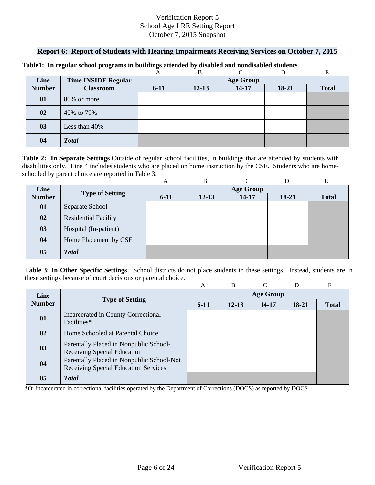## **Report 6: Report of Students with Hearing Impairments Receiving Services on October 7, 2015**

|               |                            |                  | B         | ⌒         |       |              |  |  |
|---------------|----------------------------|------------------|-----------|-----------|-------|--------------|--|--|
| Line          | <b>Time INSIDE Regular</b> | <b>Age Group</b> |           |           |       |              |  |  |
| <b>Number</b> | <b>Classroom</b>           | $6 - 11$         | $12 - 13$ | $14 - 17$ | 18-21 | <b>Total</b> |  |  |
| 01            | 80% or more                |                  |           |           |       |              |  |  |
| 02            | 40% to 79%                 |                  |           |           |       |              |  |  |
| 03            | Less than 40%              |                  |           |           |       |              |  |  |
| 04            | <b>Total</b>               |                  |           |           |       |              |  |  |

#### **Table1: In regular school programs in buildings attended by disabled and nondisabled students**

schooled by parent choice are reported in Table 3.<br>
A B C D E **Table 2: In Separate Settings** Outside of regular school facilities, in buildings that are attended by students with disabilities only. Line 4 includes students who are placed on home instruction by the CSE. Students who are home-

|                |                             | A                | B         |       |         | E            |  |  |
|----------------|-----------------------------|------------------|-----------|-------|---------|--------------|--|--|
| Line           |                             | <b>Age Group</b> |           |       |         |              |  |  |
| <b>Number</b>  | <b>Type of Setting</b>      | $6 - 11$         | $12 - 13$ | 14-17 | $18-21$ | <b>Total</b> |  |  |
| 01             | Separate School             |                  |           |       |         |              |  |  |
| 02             | <b>Residential Facility</b> |                  |           |       |         |              |  |  |
| 03             | Hospital (In-patient)       |                  |           |       |         |              |  |  |
| 04             | Home Placement by CSE       |                  |           |       |         |              |  |  |
| 0 <sub>5</sub> | <b>Total</b>                |                  |           |       |         |              |  |  |

**Table 3: In Other Specific Settings**. School districts do not place students in these settings. Instead, students are in these settings because of court decisions or parental choice.

|               |                                                                                   | А                | <sub>B</sub> |       | D     | E            |  |  |
|---------------|-----------------------------------------------------------------------------------|------------------|--------------|-------|-------|--------------|--|--|
| Line          |                                                                                   | <b>Age Group</b> |              |       |       |              |  |  |
| <b>Number</b> | <b>Type of Setting</b>                                                            | $6-11$           | $12 - 13$    | 14-17 | 18-21 | <b>Total</b> |  |  |
| 01            | Incarcerated in County Correctional<br>Facilities*                                |                  |              |       |       |              |  |  |
| 02            | Home Schooled at Parental Choice                                                  |                  |              |       |       |              |  |  |
| 03            | Parentally Placed in Nonpublic School-<br>Receiving Special Education             |                  |              |       |       |              |  |  |
| 04            | Parentally Placed in Nonpublic School-Not<br>Receiving Special Education Services |                  |              |       |       |              |  |  |
| 05            | <b>T</b> otal                                                                     |                  |              |       |       |              |  |  |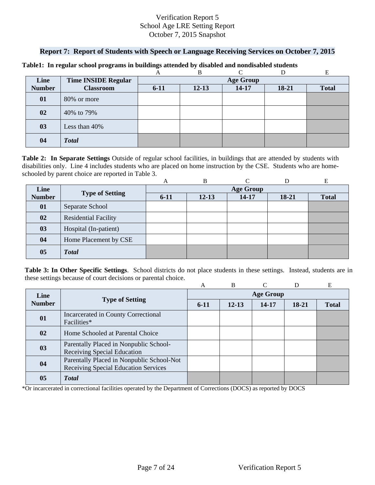## **Report 7: Report of Students with Speech or Language Receiving Services on October 7, 2015**

|               |                            |                  | B         | ⌒         |         |              |  |  |
|---------------|----------------------------|------------------|-----------|-----------|---------|--------------|--|--|
| Line          | <b>Time INSIDE Regular</b> | <b>Age Group</b> |           |           |         |              |  |  |
| <b>Number</b> | <b>Classroom</b>           | $6 - 11$         | $12 - 13$ | $14 - 17$ | $18-21$ | <b>Total</b> |  |  |
| 01            | 80% or more                |                  |           |           |         |              |  |  |
| 02            | 40% to 79%                 |                  |           |           |         |              |  |  |
| 03            | Less than 40%              |                  |           |           |         |              |  |  |
| 04            | <b>Total</b>               |                  |           |           |         |              |  |  |

#### **Table1: In regular school programs in buildings attended by disabled and nondisabled students**

schooled by parent choice are reported in Table 3.<br>
A B C D E **Table 2: In Separate Settings** Outside of regular school facilities, in buildings that are attended by students with disabilities only. Line 4 includes students who are placed on home instruction by the CSE. Students who are home-

|                |                             | A                | B         |       |         | E            |  |  |
|----------------|-----------------------------|------------------|-----------|-------|---------|--------------|--|--|
| Line           |                             | <b>Age Group</b> |           |       |         |              |  |  |
| <b>Number</b>  | <b>Type of Setting</b>      | $6 - 11$         | $12 - 13$ | 14-17 | $18-21$ | <b>Total</b> |  |  |
| 01             | Separate School             |                  |           |       |         |              |  |  |
| 02             | <b>Residential Facility</b> |                  |           |       |         |              |  |  |
| 03             | Hospital (In-patient)       |                  |           |       |         |              |  |  |
| 04             | Home Placement by CSE       |                  |           |       |         |              |  |  |
| 0 <sub>5</sub> | <b>Total</b>                |                  |           |       |         |              |  |  |

**Table 3: In Other Specific Settings**. School districts do not place students in these settings. Instead, students are in these settings because of court decisions or parental choice.

|               |                                                                                   | A                | B         |       | D     | E            |  |  |
|---------------|-----------------------------------------------------------------------------------|------------------|-----------|-------|-------|--------------|--|--|
| Line          |                                                                                   | <b>Age Group</b> |           |       |       |              |  |  |
| <b>Number</b> | <b>Type of Setting</b>                                                            | $6-11$           | $12 - 13$ | 14-17 | 18-21 | <b>Total</b> |  |  |
| 01            | Incarcerated in County Correctional<br>Facilities*                                |                  |           |       |       |              |  |  |
| 02            | Home Schooled at Parental Choice                                                  |                  |           |       |       |              |  |  |
| 03            | Parentally Placed in Nonpublic School-<br>Receiving Special Education             |                  |           |       |       |              |  |  |
| 04            | Parentally Placed in Nonpublic School-Not<br>Receiving Special Education Services |                  |           |       |       |              |  |  |
| 05            | <b>T</b> otal                                                                     |                  |           |       |       |              |  |  |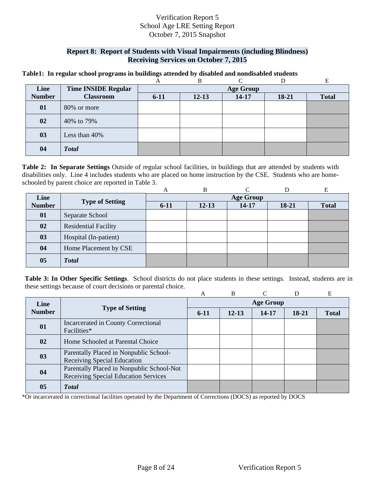## **Report 8: Report of Students with Visual Impairments (including Blindness) Receiving Services on October 7, 2015**

#### **Table1: In regular school programs in buildings attended by disabled and nondisabled students**

|               |                            |                  | В         |           |       | E            |  |  |
|---------------|----------------------------|------------------|-----------|-----------|-------|--------------|--|--|
| Line          | <b>Time INSIDE Regular</b> | <b>Age Group</b> |           |           |       |              |  |  |
| <b>Number</b> | <b>Classroom</b>           | $6 - 11$         | $12 - 13$ | $14 - 17$ | 18-21 | <b>Total</b> |  |  |
| 01            | 80% or more                |                  |           |           |       |              |  |  |
| 02            | 40% to 79%                 |                  |           |           |       |              |  |  |
| 03            | Less than 40%              |                  |           |           |       |              |  |  |
| 04            | <b>Total</b>               |                  |           |           |       |              |  |  |

 schooled by parent choice are reported in Table 3. **Table 2: In Separate Settings** Outside of regular school facilities, in buildings that are attended by students with disabilities only. Line 4 includes students who are placed on home instruction by the CSE. Students who are home-

|               |                             | A                | B         |       |       | E            |  |  |
|---------------|-----------------------------|------------------|-----------|-------|-------|--------------|--|--|
| Line          | <b>Type of Setting</b>      | <b>Age Group</b> |           |       |       |              |  |  |
| <b>Number</b> |                             | $6 - 11$         | $12 - 13$ | 14-17 | 18-21 | <b>Total</b> |  |  |
| 01            | Separate School             |                  |           |       |       |              |  |  |
| 02            | <b>Residential Facility</b> |                  |           |       |       |              |  |  |
| 03            | Hospital (In-patient)       |                  |           |       |       |              |  |  |
| 04            | Home Placement by CSE       |                  |           |       |       |              |  |  |
| 05            | <b>Total</b>                |                  |           |       |       |              |  |  |

**Table 3: In Other Specific Settings**. School districts do not place students in these settings. Instead, students are in these settings because of court decisions or parental choice.

|               |                                                                                   | A                | B         | ⌒     | D     | Е            |  |  |
|---------------|-----------------------------------------------------------------------------------|------------------|-----------|-------|-------|--------------|--|--|
| Line          |                                                                                   | <b>Age Group</b> |           |       |       |              |  |  |
| <b>Number</b> | <b>Type of Setting</b>                                                            | $6-11$           | $12 - 13$ | 14-17 | 18-21 | <b>Total</b> |  |  |
| 01            | Incarcerated in County Correctional<br>Facilities*                                |                  |           |       |       |              |  |  |
| 02            | Home Schooled at Parental Choice                                                  |                  |           |       |       |              |  |  |
| 03            | Parentally Placed in Nonpublic School-<br>Receiving Special Education             |                  |           |       |       |              |  |  |
| 04            | Parentally Placed in Nonpublic School-Not<br>Receiving Special Education Services |                  |           |       |       |              |  |  |
| 05            | <b>Total</b>                                                                      |                  |           |       |       |              |  |  |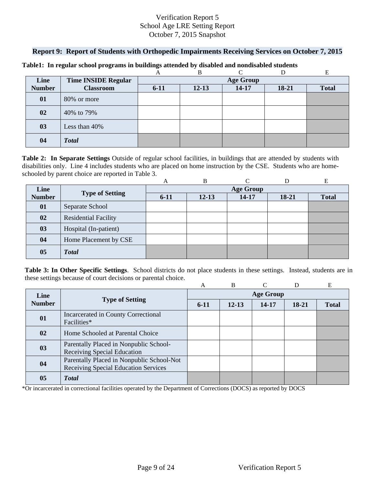#### **Report 9: Report of Students with Orthopedic Impairments Receiving Services on October 7, 2015**

|               |                            |          | B                |       |       |              |  |  |  |
|---------------|----------------------------|----------|------------------|-------|-------|--------------|--|--|--|
| Line          | <b>Time INSIDE Regular</b> |          | <b>Age Group</b> |       |       |              |  |  |  |
| <b>Number</b> | <b>Classroom</b>           | $6 - 11$ | $12 - 13$        | 14-17 | 18-21 | <b>Total</b> |  |  |  |
| 01            | 80% or more                |          |                  |       |       |              |  |  |  |
| 02            | 40% to 79%                 |          |                  |       |       |              |  |  |  |
| 03            | Less than 40%              |          |                  |       |       |              |  |  |  |
| 04            | <b>Total</b>               |          |                  |       |       |              |  |  |  |

#### **Table1: In regular school programs in buildings attended by disabled and nondisabled students**

schooled by parent choice are reported in Table 3.<br>
A B C D E **Table 2: In Separate Settings** Outside of regular school facilities, in buildings that are attended by students with disabilities only. Line 4 includes students who are placed on home instruction by the CSE. Students who are home-

|                |                             | A                | B         |       |         | E            |  |  |
|----------------|-----------------------------|------------------|-----------|-------|---------|--------------|--|--|
| Line           |                             | <b>Age Group</b> |           |       |         |              |  |  |
| <b>Number</b>  | <b>Type of Setting</b>      | $6 - 11$         | $12 - 13$ | 14-17 | $18-21$ | <b>Total</b> |  |  |
| 01             | Separate School             |                  |           |       |         |              |  |  |
| 02             | <b>Residential Facility</b> |                  |           |       |         |              |  |  |
| 03             | Hospital (In-patient)       |                  |           |       |         |              |  |  |
| 04             | Home Placement by CSE       |                  |           |       |         |              |  |  |
| 0 <sub>5</sub> | <b>Total</b>                |                  |           |       |         |              |  |  |

**Table 3: In Other Specific Settings**. School districts do not place students in these settings. Instead, students are in these settings because of court decisions or parental choice.

|               |                                                    | A                | B         |       | D     | E            |  |  |
|---------------|----------------------------------------------------|------------------|-----------|-------|-------|--------------|--|--|
| Line          |                                                    | <b>Age Group</b> |           |       |       |              |  |  |
| <b>Number</b> | <b>Type of Setting</b>                             | $6-11$           | $12 - 13$ | 14-17 | 18-21 | <b>Total</b> |  |  |
| 01            | Incarcerated in County Correctional<br>Facilities* |                  |           |       |       |              |  |  |
|               |                                                    |                  |           |       |       |              |  |  |
| 02            | Home Schooled at Parental Choice                   |                  |           |       |       |              |  |  |
| 03            | Parentally Placed in Nonpublic School-             |                  |           |       |       |              |  |  |
|               | Receiving Special Education                        |                  |           |       |       |              |  |  |
| 04            | Parentally Placed in Nonpublic School-Not          |                  |           |       |       |              |  |  |
|               | Receiving Special Education Services               |                  |           |       |       |              |  |  |
| 05            | <b>T</b> otal                                      |                  |           |       |       |              |  |  |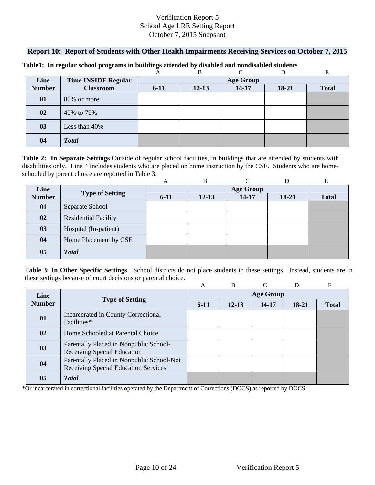### **Report 10: Report of Students with Other Health Impairments Receiving Services on October 7, 2015**

|               |                            |                  | B         | ⌒         |       |              |  |  |
|---------------|----------------------------|------------------|-----------|-----------|-------|--------------|--|--|
| Line          | <b>Time INSIDE Regular</b> | <b>Age Group</b> |           |           |       |              |  |  |
| <b>Number</b> | <b>Classroom</b>           | $6 - 11$         | $12 - 13$ | $14 - 17$ | 18-21 | <b>Total</b> |  |  |
| 01            | 80% or more                |                  |           |           |       |              |  |  |
| 02            | 40% to 79%                 |                  |           |           |       |              |  |  |
| 03            | Less than 40%              |                  |           |           |       |              |  |  |
| 04            | <b>Total</b>               |                  |           |           |       |              |  |  |

#### **Table1: In regular school programs in buildings attended by disabled and nondisabled students**

schooled by parent choice are reported in Table 3.<br>
A B C D E **Table 2: In Separate Settings** Outside of regular school facilities, in buildings that are attended by students with disabilities only. Line 4 includes students who are placed on home instruction by the CSE. Students who are home-

|                |                             | A                | B         |       |         | Е            |  |  |
|----------------|-----------------------------|------------------|-----------|-------|---------|--------------|--|--|
| Line           |                             | <b>Age Group</b> |           |       |         |              |  |  |
| <b>Number</b>  | <b>Type of Setting</b>      | $6-11$           | $12 - 13$ | 14-17 | $18-21$ | <b>Total</b> |  |  |
| 01             | Separate School             |                  |           |       |         |              |  |  |
| 02             | <b>Residential Facility</b> |                  |           |       |         |              |  |  |
| 03             | Hospital (In-patient)       |                  |           |       |         |              |  |  |
| 04             | Home Placement by CSE       |                  |           |       |         |              |  |  |
| 0 <sub>5</sub> | <b>Total</b>                |                  |           |       |         |              |  |  |

**Table 3: In Other Specific Settings**. School districts do not place students in these settings. Instead, students are in these settings because of court decisions or parental choice.

|               |                                                                                   | A                | B         |       | D     | E            |  |  |
|---------------|-----------------------------------------------------------------------------------|------------------|-----------|-------|-------|--------------|--|--|
| Line          |                                                                                   | <b>Age Group</b> |           |       |       |              |  |  |
| <b>Number</b> | <b>Type of Setting</b>                                                            | $6-11$           | $12 - 13$ | 14-17 | 18-21 | <b>Total</b> |  |  |
| 01            | Incarcerated in County Correctional<br>Facilities*                                |                  |           |       |       |              |  |  |
| 02            | Home Schooled at Parental Choice                                                  |                  |           |       |       |              |  |  |
| 03            | Parentally Placed in Nonpublic School-<br>Receiving Special Education             |                  |           |       |       |              |  |  |
| 04            | Parentally Placed in Nonpublic School-Not<br>Receiving Special Education Services |                  |           |       |       |              |  |  |
| 05            | <b>T</b> otal                                                                     |                  |           |       |       |              |  |  |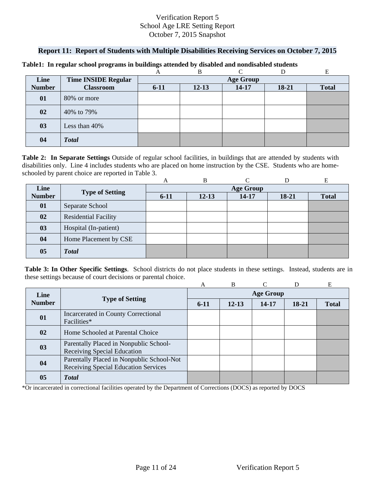# **Report 11: Report of Students with Multiple Disabilities Receiving Services on October 7, 2015**

|               |                            |          | B                | ⌒         |         |              |  |  |  |
|---------------|----------------------------|----------|------------------|-----------|---------|--------------|--|--|--|
| Line          | <b>Time INSIDE Regular</b> |          | <b>Age Group</b> |           |         |              |  |  |  |
| <b>Number</b> | <b>Classroom</b>           | $6 - 11$ | $12 - 13$        | $14 - 17$ | $18-21$ | <b>Total</b> |  |  |  |
| 01            | 80% or more                |          |                  |           |         |              |  |  |  |
| 02            | 40% to 79%                 |          |                  |           |         |              |  |  |  |
| 03            | Less than 40%              |          |                  |           |         |              |  |  |  |
| 04            | <b>Total</b>               |          |                  |           |         |              |  |  |  |

#### **Table1: In regular school programs in buildings attended by disabled and nondisabled students**

schooled by parent choice are reported in Table 3.<br>
A B C D E **Table 2: In Separate Settings** Outside of regular school facilities, in buildings that are attended by students with disabilities only. Line 4 includes students who are placed on home instruction by the CSE. Students who are home-

|               |                             | A        | B         |                  |         | Е            |
|---------------|-----------------------------|----------|-----------|------------------|---------|--------------|
| Line          |                             |          |           | <b>Age Group</b> |         |              |
| <b>Number</b> | <b>Type of Setting</b>      | $6 - 11$ | $12 - 13$ | 14-17            | $18-21$ | <b>Total</b> |
| 01            | Separate School             |          |           |                  |         |              |
| 02            | <b>Residential Facility</b> |          |           |                  |         |              |
| 03            | Hospital (In-patient)       |          |           |                  |         |              |
| 04            | Home Placement by CSE       |          |           |                  |         |              |
| 05            | <b>Total</b>                |          |           |                  |         |              |

**Table 3: In Other Specific Settings**. School districts do not place students in these settings. Instead, students are in these settings because of court decisions or parental choice.

|               |                                                                                   | A                | B         |           |       | E            |  |  |
|---------------|-----------------------------------------------------------------------------------|------------------|-----------|-----------|-------|--------------|--|--|
| Line          |                                                                                   | <b>Age Group</b> |           |           |       |              |  |  |
| <b>Number</b> | <b>Type of Setting</b>                                                            | $6-11$           | $12 - 13$ | $14 - 17$ | 18-21 | <b>Total</b> |  |  |
| 01            | Incarcerated in County Correctional<br>Facilities*                                |                  |           |           |       |              |  |  |
| 02            | Home Schooled at Parental Choice                                                  |                  |           |           |       |              |  |  |
| 03            | Parentally Placed in Nonpublic School-<br>Receiving Special Education             |                  |           |           |       |              |  |  |
| 04            | Parentally Placed in Nonpublic School-Not<br>Receiving Special Education Services |                  |           |           |       |              |  |  |
| 05            | <b>T</b> otal                                                                     |                  |           |           |       |              |  |  |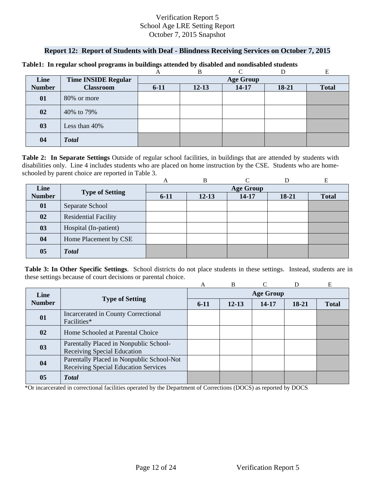# **Report 12: Report of Students with Deaf - Blindness Receiving Services on October 7, 2015**

|               |                            |          | B                |           |         |              |  |  |  |
|---------------|----------------------------|----------|------------------|-----------|---------|--------------|--|--|--|
| Line          | <b>Time INSIDE Regular</b> |          | <b>Age Group</b> |           |         |              |  |  |  |
| <b>Number</b> | <b>Classroom</b>           | $6 - 11$ | $12 - 13$        | $14 - 17$ | $18-21$ | <b>Total</b> |  |  |  |
| 01            | 80% or more                |          |                  |           |         |              |  |  |  |
| 02            | 40% to 79%                 |          |                  |           |         |              |  |  |  |
| 03            | Less than 40%              |          |                  |           |         |              |  |  |  |
| 04            | <b>Total</b>               |          |                  |           |         |              |  |  |  |

#### **Table1: In regular school programs in buildings attended by disabled and nondisabled students**

schooled by parent choice are reported in Table 3.<br>
A B C D E **Table 2: In Separate Settings** Outside of regular school facilities, in buildings that are attended by students with disabilities only. Line 4 includes students who are placed on home instruction by the CSE. Students who are home-

|               |                             | A        | B         |                  |         | Е            |
|---------------|-----------------------------|----------|-----------|------------------|---------|--------------|
| Line          |                             |          |           | <b>Age Group</b> |         |              |
| <b>Number</b> | <b>Type of Setting</b>      | $6 - 11$ | $12 - 13$ | 14-17            | $18-21$ | <b>Total</b> |
| 01            | Separate School             |          |           |                  |         |              |
| 02            | <b>Residential Facility</b> |          |           |                  |         |              |
| 03            | Hospital (In-patient)       |          |           |                  |         |              |
| 04            | Home Placement by CSE       |          |           |                  |         |              |
| 05            | <b>Total</b>                |          |           |                  |         |              |

**Table 3: In Other Specific Settings**. School districts do not place students in these settings. Instead, students are in these settings because of court decisions or parental choice.

|               |                                                                                   | A                | B         |       |       | E            |  |  |
|---------------|-----------------------------------------------------------------------------------|------------------|-----------|-------|-------|--------------|--|--|
| Line          |                                                                                   | <b>Age Group</b> |           |       |       |              |  |  |
| <b>Number</b> | <b>Type of Setting</b>                                                            | $6-11$           | $12 - 13$ | 14-17 | 18-21 | <b>Total</b> |  |  |
| 01            | Incarcerated in County Correctional<br>Facilities*                                |                  |           |       |       |              |  |  |
| 02            | Home Schooled at Parental Choice                                                  |                  |           |       |       |              |  |  |
| 03            | Parentally Placed in Nonpublic School-<br><b>Receiving Special Education</b>      |                  |           |       |       |              |  |  |
| 04            | Parentally Placed in Nonpublic School-Not<br>Receiving Special Education Services |                  |           |       |       |              |  |  |
| 05            | <b>Total</b>                                                                      |                  |           |       |       |              |  |  |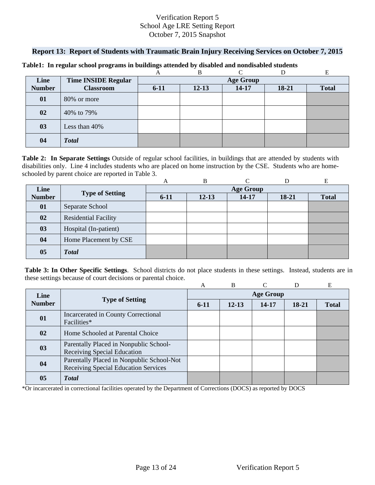## **Report 13: Report of Students with Traumatic Brain Injury Receiving Services on October 7, 2015**

|               |                            |          | B         | $\sqrt{ }$       |       |              |
|---------------|----------------------------|----------|-----------|------------------|-------|--------------|
| Line          | <b>Time INSIDE Regular</b> |          |           | <b>Age Group</b> |       |              |
| <b>Number</b> | <b>Classroom</b>           | $6 - 11$ | $12 - 13$ | $14 - 17$        | 18-21 | <b>Total</b> |
| 01            | 80% or more                |          |           |                  |       |              |
| 02            | 40% to 79%                 |          |           |                  |       |              |
| 03            | Less than 40%              |          |           |                  |       |              |
| 04            | <b>Total</b>               |          |           |                  |       |              |

#### **Table1: In regular school programs in buildings attended by disabled and nondisabled students**

schooled by parent choice are reported in Table 3.<br>
A B C D E **Table 2: In Separate Settings** Outside of regular school facilities, in buildings that are attended by students with disabilities only. Line 4 includes students who are placed on home instruction by the CSE. Students who are home-

|                |                             | A        | B         |                  |         | E            |
|----------------|-----------------------------|----------|-----------|------------------|---------|--------------|
| Line           |                             |          |           | <b>Age Group</b> |         |              |
| <b>Number</b>  | <b>Type of Setting</b>      | $6 - 11$ | $12 - 13$ | 14-17            | $18-21$ | <b>Total</b> |
| 01             | Separate School             |          |           |                  |         |              |
| 02             | <b>Residential Facility</b> |          |           |                  |         |              |
| 03             | Hospital (In-patient)       |          |           |                  |         |              |
| 04             | Home Placement by CSE       |          |           |                  |         |              |
| 0 <sub>5</sub> | <b>Total</b>                |          |           |                  |         |              |

**Table 3: In Other Specific Settings**. School districts do not place students in these settings. Instead, students are in these settings because of court decisions or parental choice.

|               |                                                                                   | A                | B         |       | D     | E            |  |  |  |  |  |
|---------------|-----------------------------------------------------------------------------------|------------------|-----------|-------|-------|--------------|--|--|--|--|--|
| Line          |                                                                                   | <b>Age Group</b> |           |       |       |              |  |  |  |  |  |
| <b>Number</b> | <b>Type of Setting</b>                                                            | $6-11$           | $12 - 13$ | 14-17 | 18-21 | <b>Total</b> |  |  |  |  |  |
| 01            | Incarcerated in County Correctional<br>Facilities*                                |                  |           |       |       |              |  |  |  |  |  |
| 02            | Home Schooled at Parental Choice                                                  |                  |           |       |       |              |  |  |  |  |  |
| 03            | Parentally Placed in Nonpublic School-<br>Receiving Special Education             |                  |           |       |       |              |  |  |  |  |  |
| 04            | Parentally Placed in Nonpublic School-Not<br>Receiving Special Education Services |                  |           |       |       |              |  |  |  |  |  |
| 05            | <b>T</b> otal                                                                     |                  |           |       |       |              |  |  |  |  |  |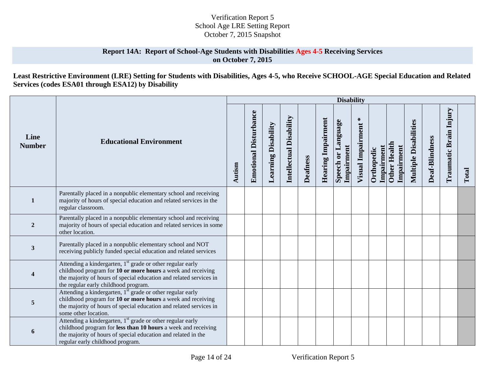## **Report 14A: Report of School-Age Students with Disabilities Ages 4-5 Receiving Services on October 7, 2015**

# **Least Restrictive Environment (LRE) Setting for Students with Disabilities, Ages 4-5, who Receive SCHOOL-AGE Special Education and Related Services (codes ESA01 through ESA12) by Disability**

|                       |                                                                                                                                                                                                                                                     |        |                              |                            |                         |                 |                           | <b>Disability</b>                |                        |                          |                                   |                              |                |                               |       |
|-----------------------|-----------------------------------------------------------------------------------------------------------------------------------------------------------------------------------------------------------------------------------------------------|--------|------------------------------|----------------------------|-------------------------|-----------------|---------------------------|----------------------------------|------------------------|--------------------------|-----------------------------------|------------------------------|----------------|-------------------------------|-------|
| Line<br><b>Number</b> | <b>Educational Environment</b>                                                                                                                                                                                                                      | Autism | <b>Emotional Disturbance</b> | <b>Learning Disability</b> | Intellectual Disability | <b>Deafness</b> | <b>Hearing Impairment</b> | Speech or Language<br>Impairment | ∗<br>Visual Impairment | Impairment<br>Orthopedic | <b>Other Health</b><br>Impairment | <b>Multiple Disabilities</b> | Deaf-Blindness | <b>Traumatic Brain Injury</b> | Total |
| $\mathbf{1}$          | Parentally placed in a nonpublic elementary school and receiving<br>majority of hours of special education and related services in the<br>regular classroom.                                                                                        |        |                              |                            |                         |                 |                           |                                  |                        |                          |                                   |                              |                |                               |       |
| $\overline{2}$        | Parentally placed in a nonpublic elementary school and receiving<br>majority of hours of special education and related services in some<br>other location.                                                                                          |        |                              |                            |                         |                 |                           |                                  |                        |                          |                                   |                              |                |                               |       |
| $\mathbf{3}$          | Parentally placed in a nonpublic elementary school and NOT<br>receiving publicly funded special education and related services                                                                                                                      |        |                              |                            |                         |                 |                           |                                  |                        |                          |                                   |                              |                |                               |       |
|                       | Attending a kindergarten, 1 <sup>st</sup> grade or other regular early<br>childhood program for 10 or more hours a week and receiving<br>the majority of hours of special education and related services in<br>the regular early childhood program. |        |                              |                            |                         |                 |                           |                                  |                        |                          |                                   |                              |                |                               |       |
| 5                     | Attending a kindergarten, 1 <sup>st</sup> grade or other regular early<br>childhood program for 10 or more hours a week and receiving<br>the majority of hours of special education and related services in<br>some other location.                 |        |                              |                            |                         |                 |                           |                                  |                        |                          |                                   |                              |                |                               |       |
| 6                     | Attending a kindergarten, 1 <sup>st</sup> grade or other regular early<br>childhood program for less than 10 hours a week and receiving<br>the majority of hours of special education and related in the<br>regular early childhood program.        |        |                              |                            |                         |                 |                           |                                  |                        |                          |                                   |                              |                |                               |       |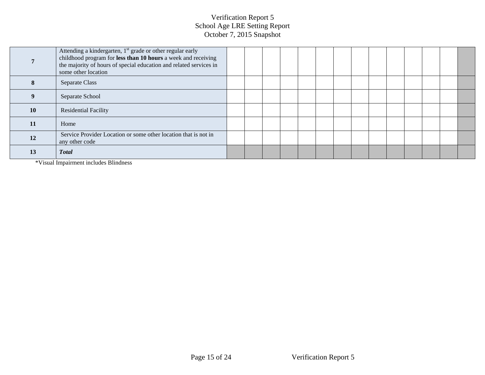|           | Attending a kindergarten, 1 <sup>st</sup> grade or other regular early<br>childhood program for less than 10 hours a week and receiving<br>the majority of hours of special education and related services in<br>some other location |  |  |  |  |  |  |  |
|-----------|--------------------------------------------------------------------------------------------------------------------------------------------------------------------------------------------------------------------------------------|--|--|--|--|--|--|--|
| 8         | Separate Class                                                                                                                                                                                                                       |  |  |  |  |  |  |  |
|           | Separate School                                                                                                                                                                                                                      |  |  |  |  |  |  |  |
| <b>10</b> | <b>Residential Facility</b>                                                                                                                                                                                                          |  |  |  |  |  |  |  |
| 11        | Home                                                                                                                                                                                                                                 |  |  |  |  |  |  |  |
| 12        | Service Provider Location or some other location that is not in<br>any other code                                                                                                                                                    |  |  |  |  |  |  |  |
| 13        | <b>Total</b>                                                                                                                                                                                                                         |  |  |  |  |  |  |  |

\*Visual Impairment includes Blindness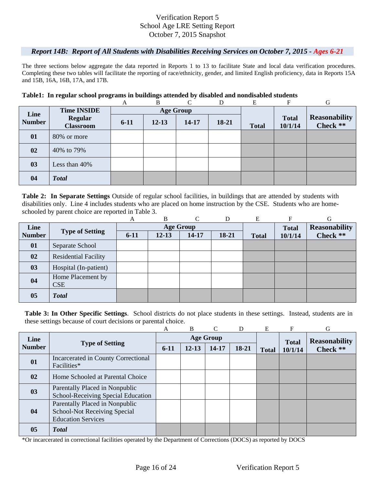#### *Report 14B: Report of All Students with Disabilities Receiving Services on October 7, 2015 - Ages 6-21*

The three sections below aggregate the data reported in Reports 1 to 13 to facilitate State and local data verification procedures. Completing these two tables will facilitate the reporting of race/ethnicity, gender, and limited English proficiency, data in Reports 15A and 15B, 16A, 16B, 17A, and 17B.

#### **Table1: In regular school programs in buildings attended by disabled and nondisabled students**

|               |                                    | A        | B         | $\Gamma$         | D     | E            | F                       | G                                |
|---------------|------------------------------------|----------|-----------|------------------|-------|--------------|-------------------------|----------------------------------|
| Line          | <b>Time INSIDE</b>                 |          |           | <b>Age Group</b> |       |              |                         |                                  |
| <b>Number</b> | <b>Regular</b><br><b>Classroom</b> | $6 - 11$ | $12 - 13$ | 14-17            | 18-21 | <b>Total</b> | <b>Total</b><br>10/1/14 | <b>Reasonability</b><br>Check ** |
| 01            | 80% or more                        |          |           |                  |       |              |                         |                                  |
| 02            | 40% to 79%                         |          |           |                  |       |              |                         |                                  |
| 03            | Less than $40\%$                   |          |           |                  |       |              |                         |                                  |
| 04            | <b>Total</b>                       |          |           |                  |       |              |                         |                                  |

schooled by parent choice are reported in Table 3.<br>
A B C D E F G **Table 2: In Separate Settings** Outside of regular school facilities, in buildings that are attended by students with disabilities only. Line 4 includes students who are placed on home instruction by the CSE. Students who are home-

|               |                             | А        | B         | $\curvearrowright$ | D     | Е            | F            | G                    |
|---------------|-----------------------------|----------|-----------|--------------------|-------|--------------|--------------|----------------------|
| Line          |                             |          |           | <b>Age Group</b>   |       |              | <b>Total</b> | <b>Reasonability</b> |
| <b>Number</b> | <b>Type of Setting</b>      | $6 - 11$ | $12 - 13$ | 14-17              | 18-21 | <b>Total</b> | 10/1/14      | Check **             |
| 01            | Separate School             |          |           |                    |       |              |              |                      |
| 02            | <b>Residential Facility</b> |          |           |                    |       |              |              |                      |
| 03            | Hospital (In-patient)       |          |           |                    |       |              |              |                      |
| 04            | Home Placement by           |          |           |                    |       |              |              |                      |
|               | <b>CSE</b>                  |          |           |                    |       |              |              |                      |
| 05            | <b>Total</b>                |          |           |                    |       |              |              |                      |

**Table 3: In Other Specific Settings**. School districts do not place students in these settings. Instead, students are in these settings because of court decisions or parental choice.

|               |                                                                                                    | A      | B         | $\mathcal{C}$    | D     | E            | F            | G                    |
|---------------|----------------------------------------------------------------------------------------------------|--------|-----------|------------------|-------|--------------|--------------|----------------------|
| Line          |                                                                                                    |        |           | <b>Age Group</b> |       |              | <b>Total</b> | <b>Reasonability</b> |
| <b>Number</b> | <b>Type of Setting</b>                                                                             | $6-11$ | $12 - 13$ | 14-17            | 18-21 | <b>Total</b> | 10/1/14      | Check **             |
| 01            | Incarcerated in County Correctional<br>Facilities*                                                 |        |           |                  |       |              |              |                      |
| 02            | Home Schooled at Parental Choice                                                                   |        |           |                  |       |              |              |                      |
| 03            | Parentally Placed in Nonpublic<br>School-Receiving Special Education                               |        |           |                  |       |              |              |                      |
| 04            | Parentally Placed in Nonpublic<br><b>School-Not Receiving Special</b><br><b>Education Services</b> |        |           |                  |       |              |              |                      |
| 05            | <b>Total</b>                                                                                       |        |           |                  |       |              |              |                      |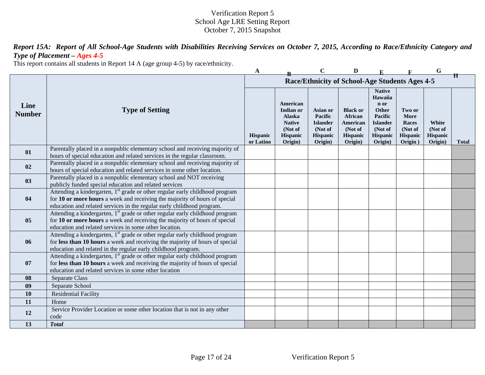*Report 15A: Report of All School-Age Students with Disabilities Receiving Services on October 7, 2015, According to Race/Ethnicity Category and Type of Placement – Ages 4-5* 

This report contains all students in Report 14 A (age group 4-5) by race/ethnicity.

|                       |                                                                                                                                                                                                                                                  | A                     |                                                                                           | $\mathbf C$                                                              | D                                                                               |                                                                                                           |                                                           | G                                              |              |
|-----------------------|--------------------------------------------------------------------------------------------------------------------------------------------------------------------------------------------------------------------------------------------------|-----------------------|-------------------------------------------------------------------------------------------|--------------------------------------------------------------------------|---------------------------------------------------------------------------------|-----------------------------------------------------------------------------------------------------------|-----------------------------------------------------------|------------------------------------------------|--------------|
|                       |                                                                                                                                                                                                                                                  |                       |                                                                                           |                                                                          | Race/Ethnicity of School-Age Students Ages 4-5                                  |                                                                                                           |                                                           |                                                | Ħ            |
| Line<br><b>Number</b> | <b>Type of Setting</b>                                                                                                                                                                                                                           | Hispanic<br>or Latino | American<br>Indian or<br>Alaska<br><b>Native</b><br>(Not of<br><b>Hispanic</b><br>Origin) | Asian or<br>Pacific<br><b>Islander</b><br>(Not of<br>Hispanic<br>Origin) | <b>Black or</b><br>African<br>American<br>(Not of<br><b>Hispanic</b><br>Origin) | <b>Native</b><br>Hawaiia<br>n or<br>Other<br>Pacific<br><b>Islander</b><br>(Not of<br>Hispanic<br>Origin) | Two or<br>More<br>Races<br>(Not of<br>Hispanic<br>Origin) | White<br>(Not of<br><b>Hispanic</b><br>Origin) | <b>Total</b> |
| 01                    | Parentally placed in a nonpublic elementary school and receiving majority of<br>hours of special education and related services in the regular classroom.                                                                                        |                       |                                                                                           |                                                                          |                                                                                 |                                                                                                           |                                                           |                                                |              |
| 02                    | Parentally placed in a nonpublic elementary school and receiving majority of<br>hours of special education and related services in some other location.                                                                                          |                       |                                                                                           |                                                                          |                                                                                 |                                                                                                           |                                                           |                                                |              |
| 0 <sub>3</sub>        | Parentally placed in a nonpublic elementary school and NOT receiving<br>publicly funded special education and related services                                                                                                                   |                       |                                                                                           |                                                                          |                                                                                 |                                                                                                           |                                                           |                                                |              |
| 04                    | Attending a kindergarten, 1 <sup>st</sup> grade or other regular early childhood program<br>for 10 or more hours a week and receiving the majority of hours of special<br>education and related services in the regular early childhood program. |                       |                                                                                           |                                                                          |                                                                                 |                                                                                                           |                                                           |                                                |              |
| 05                    | Attending a kindergarten, 1 <sup>st</sup> grade or other regular early childhood program<br>for 10 or more hours a week and receiving the majority of hours of special<br>education and related services in some other location.                 |                       |                                                                                           |                                                                          |                                                                                 |                                                                                                           |                                                           |                                                |              |
| 06                    | Attending a kindergarten, 1 <sup>st</sup> grade or other regular early childhood program<br>for less than 10 hours a week and receiving the majority of hours of special<br>education and related in the regular early childhood program.        |                       |                                                                                           |                                                                          |                                                                                 |                                                                                                           |                                                           |                                                |              |
| 07                    | Attending a kindergarten, 1 <sup>st</sup> grade or other regular early childhood program<br>for less than 10 hours a week and receiving the majority of hours of special<br>education and related services in some other location                |                       |                                                                                           |                                                                          |                                                                                 |                                                                                                           |                                                           |                                                |              |
| 08                    | Separate Class                                                                                                                                                                                                                                   |                       |                                                                                           |                                                                          |                                                                                 |                                                                                                           |                                                           |                                                |              |
| 09                    | Separate School                                                                                                                                                                                                                                  |                       |                                                                                           |                                                                          |                                                                                 |                                                                                                           |                                                           |                                                |              |
| 10                    | <b>Residential Facility</b>                                                                                                                                                                                                                      |                       |                                                                                           |                                                                          |                                                                                 |                                                                                                           |                                                           |                                                |              |
| 11                    | Home                                                                                                                                                                                                                                             |                       |                                                                                           |                                                                          |                                                                                 |                                                                                                           |                                                           |                                                |              |
| 12                    | Service Provider Location or some other location that is not in any other<br>code                                                                                                                                                                |                       |                                                                                           |                                                                          |                                                                                 |                                                                                                           |                                                           |                                                |              |
| 13                    | <b>Total</b>                                                                                                                                                                                                                                     |                       |                                                                                           |                                                                          |                                                                                 |                                                                                                           |                                                           |                                                |              |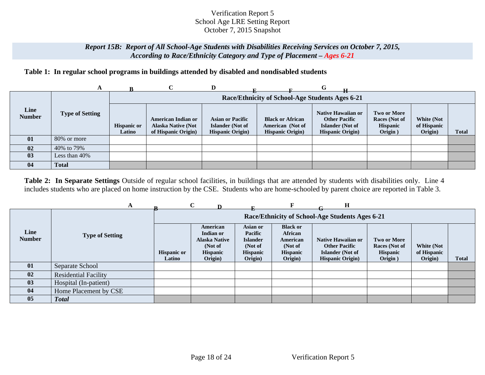#### *Report 15B: Report of All School-Age Students with Disabilities Receiving Services on October 7, 2015, According to Race/Ethnicity Category and Type of Placement – Ages 6-21*

# **Table 1: In regular school programs in buildings attended by disabled and nondisabled students**

|                       | A                      |                              |                                                                               | D                                                                              |                                                                         | G                                                                                                 |                                                            |                                             |              |
|-----------------------|------------------------|------------------------------|-------------------------------------------------------------------------------|--------------------------------------------------------------------------------|-------------------------------------------------------------------------|---------------------------------------------------------------------------------------------------|------------------------------------------------------------|---------------------------------------------|--------------|
|                       |                        |                              |                                                                               |                                                                                | Race/Ethnicity of School-Age Students Ages 6-21                         |                                                                                                   |                                                            |                                             |              |
| Line<br><b>Number</b> | <b>Type of Setting</b> | <b>Hispanic or</b><br>Latino | <b>American Indian or</b><br><b>Alaska Native (Not</b><br>of Hispanic Origin) | <b>Asian or Pacific</b><br><b>Islander</b> (Not of<br><b>Hispanic Origin</b> ) | <b>Black or African</b><br>American (Not of<br><b>Hispanic Origin</b> ) | <b>Native Hawaiian or</b><br><b>Other Pacific</b><br>Islander (Not of<br><b>Hispanic Origin</b> ) | Two or More<br>Races (Not of<br><b>Hispanic</b><br>Origin) | <b>White (Not</b><br>of Hispanic<br>Origin) | <b>Total</b> |
| 01                    | 80% or more            |                              |                                                                               |                                                                                |                                                                         |                                                                                                   |                                                            |                                             |              |
| 02                    | 40% to 79%             |                              |                                                                               |                                                                                |                                                                         |                                                                                                   |                                                            |                                             |              |
| 03                    | Less than 40%          |                              |                                                                               |                                                                                |                                                                         |                                                                                                   |                                                            |                                             |              |
| 04                    | <b>Total</b>           |                              |                                                                               |                                                                                |                                                                         |                                                                                                   |                                                            |                                             |              |

**Table 2: In Separate Settings** Outside of regular school facilities, in buildings that are attended by students with disabilities only. Line 4 includes students who are placed on home instruction by the CSE. Students who are home-schooled by parent choice are reported in Table 3.

|                       |                             |                              | $\mathbf C$                                                                     |                                                                                 |                                                                                 | н                                                                                                 |                                                                   |                                      |       |
|-----------------------|-----------------------------|------------------------------|---------------------------------------------------------------------------------|---------------------------------------------------------------------------------|---------------------------------------------------------------------------------|---------------------------------------------------------------------------------------------------|-------------------------------------------------------------------|--------------------------------------|-------|
|                       |                             |                              |                                                                                 |                                                                                 |                                                                                 | Race/Ethnicity of School-Age Students Ages 6-21                                                   |                                                                   |                                      |       |
| Line<br><b>Number</b> | <b>Type of Setting</b>      | <b>Hispanic or</b><br>Latino | American<br>Indian or<br><b>Alaska Native</b><br>(Not of<br>Hispanic<br>Origin) | Asian or<br>Pacific<br><b>Islander</b><br>(Not of<br><b>Hispanic</b><br>Origin) | <b>Black or</b><br>African<br>American<br>(Not of<br><b>Hispanic</b><br>Origin) | Native Hawaiian or<br><b>Other Pacific</b><br><b>Islander</b> (Not of<br><b>Hispanic Origin</b> ) | <b>Two or More</b><br>Races (Not of<br><b>Hispanic</b><br>Origin) | White (Not<br>of Hispanic<br>Origin) | Total |
| 01                    | Separate School             |                              |                                                                                 |                                                                                 |                                                                                 |                                                                                                   |                                                                   |                                      |       |
| 02                    | <b>Residential Facility</b> |                              |                                                                                 |                                                                                 |                                                                                 |                                                                                                   |                                                                   |                                      |       |
| 03                    | Hospital (In-patient)       |                              |                                                                                 |                                                                                 |                                                                                 |                                                                                                   |                                                                   |                                      |       |
| 04                    | Home Placement by CSE       |                              |                                                                                 |                                                                                 |                                                                                 |                                                                                                   |                                                                   |                                      |       |
| 05                    | <b>Total</b>                |                              |                                                                                 |                                                                                 |                                                                                 |                                                                                                   |                                                                   |                                      |       |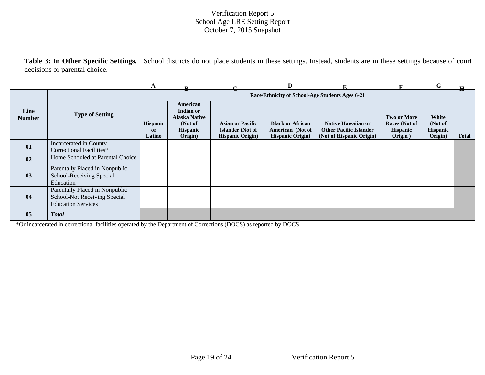**Table 3: In Other Specific Settings.** School districts do not place students in these settings. Instead, students are in these settings because of court decisions or parental choice.

|                       |                                                                                             | A                                          |                                                                                        |                                                                                | D                                                                      |                                                                                        |                                                                   | G                                              |              |
|-----------------------|---------------------------------------------------------------------------------------------|--------------------------------------------|----------------------------------------------------------------------------------------|--------------------------------------------------------------------------------|------------------------------------------------------------------------|----------------------------------------------------------------------------------------|-------------------------------------------------------------------|------------------------------------------------|--------------|
|                       |                                                                                             |                                            |                                                                                        |                                                                                |                                                                        | Race/Ethnicity of School-Age Students Ages 6-21                                        |                                                                   |                                                |              |
| Line<br><b>Number</b> | <b>Type of Setting</b>                                                                      | <b>Hispanic</b><br><sub>or</sub><br>Latino | American<br>Indian or<br><b>Alaska Native</b><br>(Not of<br><b>Hispanic</b><br>Origin) | <b>Asian or Pacific</b><br><b>Islander</b> (Not of<br><b>Hispanic Origin</b> ) | <b>Black or African</b><br>American (Not of<br><b>Hispanic Origin)</b> | <b>Native Hawaiian or</b><br><b>Other Pacific Islander</b><br>(Not of Hispanic Origin) | <b>Two or More</b><br>Races (Not of<br><b>Hispanic</b><br>Origin) | White<br>(Not of<br><b>Hispanic</b><br>Origin) | <b>Total</b> |
| 01                    | Incarcerated in County<br>Correctional Facilities*                                          |                                            |                                                                                        |                                                                                |                                                                        |                                                                                        |                                                                   |                                                |              |
| 02                    | Home Schooled at Parental Choice                                                            |                                            |                                                                                        |                                                                                |                                                                        |                                                                                        |                                                                   |                                                |              |
| 03                    | Parentally Placed in Nonpublic<br>School-Receiving Special<br>Education                     |                                            |                                                                                        |                                                                                |                                                                        |                                                                                        |                                                                   |                                                |              |
| 04                    | Parentally Placed in Nonpublic<br>School-Not Receiving Special<br><b>Education Services</b> |                                            |                                                                                        |                                                                                |                                                                        |                                                                                        |                                                                   |                                                |              |
| 05                    | <b>Total</b>                                                                                |                                            |                                                                                        |                                                                                |                                                                        |                                                                                        |                                                                   |                                                |              |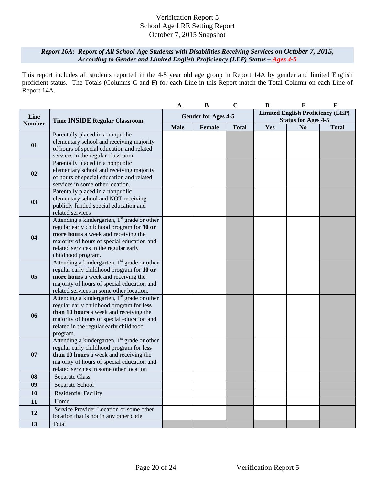# *Report 16A: Report of All School-Age Students with Disabilities Receiving Services on October 7, 2015, According to Gender and Limited English Proficiency (LEP) Status – Ages 4-5*

This report includes all students reported in the 4-5 year old age group in Report 14A by gender and limited English proficient status. The Totals (Columns C and F) for each Line in this Report match the Total Column on each Line of Report 14A.

|               |                                                                                                                                                                                                                                                 | A                          | $\bf{B}$ | $\mathbf C$  | D                                                                      | ${\bf E}$      | $\mathbf F$  |
|---------------|-------------------------------------------------------------------------------------------------------------------------------------------------------------------------------------------------------------------------------------------------|----------------------------|----------|--------------|------------------------------------------------------------------------|----------------|--------------|
| Line          | <b>Time INSIDE Regular Classroom</b>                                                                                                                                                                                                            | <b>Gender for Ages 4-5</b> |          |              | <b>Limited English Proficiency (LEP)</b><br><b>Status for Ages 4-5</b> |                |              |
| <b>Number</b> |                                                                                                                                                                                                                                                 | <b>Male</b>                | Female   | <b>Total</b> | Yes                                                                    | N <sub>0</sub> | <b>Total</b> |
| 01            | Parentally placed in a nonpublic<br>elementary school and receiving majority<br>of hours of special education and related<br>services in the regular classroom.                                                                                 |                            |          |              |                                                                        |                |              |
| 02            | Parentally placed in a nonpublic<br>elementary school and receiving majority<br>of hours of special education and related<br>services in some other location.                                                                                   |                            |          |              |                                                                        |                |              |
| 03            | Parentally placed in a nonpublic<br>elementary school and NOT receiving<br>publicly funded special education and<br>related services                                                                                                            |                            |          |              |                                                                        |                |              |
| 04            | Attending a kindergarten, $1st$ grade or other<br>regular early childhood program for 10 or<br>more hours a week and receiving the<br>majority of hours of special education and<br>related services in the regular early<br>childhood program. |                            |          |              |                                                                        |                |              |
| 05            | Attending a kindergarten, 1 <sup>st</sup> grade or other<br>regular early childhood program for 10 or<br>more hours a week and receiving the<br>majority of hours of special education and<br>related services in some other location.          |                            |          |              |                                                                        |                |              |
| 06            | Attending a kindergarten, $1st$ grade or other<br>regular early childhood program for less<br>than 10 hours a week and receiving the<br>majority of hours of special education and<br>related in the regular early childhood<br>program.        |                            |          |              |                                                                        |                |              |
| 07            | Attending a kindergarten, 1 <sup>st</sup> grade or other<br>regular early childhood program for less<br>than 10 hours a week and receiving the<br>majority of hours of special education and<br>related services in some other location         |                            |          |              |                                                                        |                |              |
| 08            | Separate Class                                                                                                                                                                                                                                  |                            |          |              |                                                                        |                |              |
| 09            | Separate School                                                                                                                                                                                                                                 |                            |          |              |                                                                        |                |              |
| 10            | <b>Residential Facility</b>                                                                                                                                                                                                                     |                            |          |              |                                                                        |                |              |
| 11            | Home                                                                                                                                                                                                                                            |                            |          |              |                                                                        |                |              |
| 12            | Service Provider Location or some other<br>location that is not in any other code                                                                                                                                                               |                            |          |              |                                                                        |                |              |
| 13            | Total                                                                                                                                                                                                                                           |                            |          |              |                                                                        |                |              |